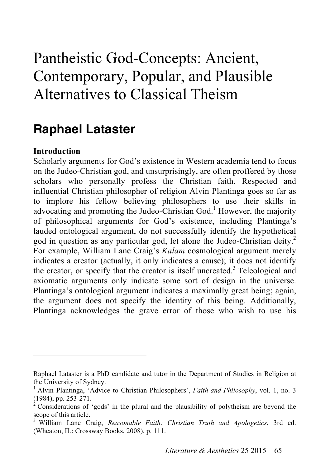# Pantheistic God-Concepts: Ancient, Contemporary, Popular, and Plausible Alternatives to Classical Theism

# **Raphael Lataster**

# **Introduction**

 $\overline{a}$ 

Scholarly arguments for God's existence in Western academia tend to focus on the Judeo-Christian god, and unsurprisingly, are often proffered by those scholars who personally profess the Christian faith. Respected and influential Christian philosopher of religion Alvin Plantinga goes so far as to implore his fellow believing philosophers to use their skills in advocating and promoting the Judeo-Christian God.<sup>1</sup> However, the majority of philosophical arguments for God's existence, including Plantinga's lauded ontological argument, do not successfully identify the hypothetical god in question as any particular god, let alone the Judeo-Christian deity. 2 For example, William Lane Craig's *Kalam* cosmological argument merely indicates a creator (actually, it only indicates a cause); it does not identify the creator, or specify that the creator is itself uncreated.<sup>3</sup> Teleological and axiomatic arguments only indicate some sort of design in the universe. Plantinga's ontological argument indicates a maximally great being; again, the argument does not specify the identity of this being. Additionally, Plantinga acknowledges the grave error of those who wish to use his

Raphael Lataster is a PhD candidate and tutor in the Department of Studies in Religion at the University of Sydney.

<sup>1</sup> Alvin Plantinga, 'Advice to Christian Philosophers', *Faith and Philosophy*, vol. 1, no. 3 (1984), pp. 253-271. <sup>2</sup>

Considerations of 'gods' in the plural and the plausibility of polytheism are beyond the scope of this article.

<sup>3</sup> William Lane Craig, *Reasonable Faith: Christian Truth and Apologetics*, 3rd ed. (Wheaton, IL: Crossway Books, 2008), p. 111.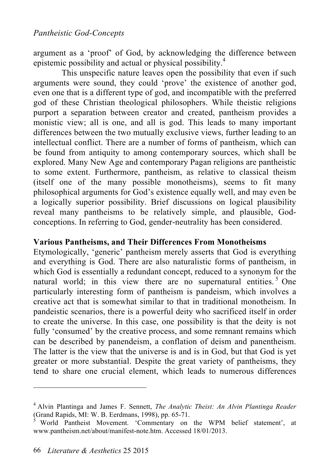argument as a 'proof' of God, by acknowledging the difference between epistemic possibility and actual or physical possibility. 4

This unspecific nature leaves open the possibility that even if such arguments were sound, they could 'prove' the existence of another god, even one that is a different type of god, and incompatible with the preferred god of these Christian theological philosophers. While theistic religions purport a separation between creator and created, pantheism provides a monistic view; all is one, and all is god. This leads to many important differences between the two mutually exclusive views, further leading to an intellectual conflict. There are a number of forms of pantheism, which can be found from antiquity to among contemporary sources, which shall be explored. Many New Age and contemporary Pagan religions are pantheistic to some extent. Furthermore, pantheism, as relative to classical theism (itself one of the many possible monotheisms), seems to fit many philosophical arguments for God's existence equally well, and may even be a logically superior possibility. Brief discussions on logical plausibility reveal many pantheisms to be relatively simple, and plausible, Godconceptions. In referring to God, gender-neutrality has been considered.

#### **Various Pantheisms, and Their Differences From Monotheisms**

Etymologically, 'generic' pantheism merely asserts that God is everything and everything is God. There are also naturalistic forms of pantheism, in which God is essentially a redundant concept, reduced to a synonym for the natural world; in this view there are no supernatural entities.<sup>5</sup> One particularly interesting form of pantheism is pandeism, which involves a creative act that is somewhat similar to that in traditional monotheism. In pandeistic scenarios, there is a powerful deity who sacrificed itself in order to create the universe. In this case, one possibility is that the deity is not fully 'consumed' by the creative process, and some remnant remains which can be described by panendeism, a conflation of deism and panentheism. The latter is the view that the universe is and is in God, but that God is yet greater or more substantial. Despite the great variety of pantheisms, they tend to share one crucial element, which leads to numerous differences

<sup>4</sup> Alvin Plantinga and James F. Sennett, *The Analytic Theist: An Alvin Plantinga Reader* (Grand Rapids, MI: W. B. Eerdmans, 1998), pp. 65-71. <sup>5</sup> World Pantheist Movement. 'Commentary on the WPM belief statement', at

www.pantheism.net/about/manifest-note.htm. Accessed 18/01/2013.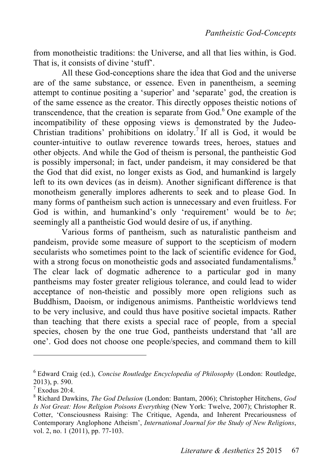from monotheistic traditions: the Universe, and all that lies within, is God. That is, it consists of divine 'stuff'.

All these God-conceptions share the idea that God and the universe are of the same substance, or essence. Even in panentheism, a seeming attempt to continue positing a 'superior' and 'separate' god, the creation is of the same essence as the creator. This directly opposes theistic notions of transcendence, that the creation is separate from God. 6 One example of the incompatibility of these opposing views is demonstrated by the Judeo-Christian traditions' prohibitions on idolatry.<sup>7</sup> If all is God, it would be counter-intuitive to outlaw reverence towards trees, heroes, statues and other objects. And while the God of theism is personal, the pantheistic God is possibly impersonal; in fact, under pandeism, it may considered be that the God that did exist, no longer exists as God, and humankind is largely left to its own devices (as in deism). Another significant difference is that monotheism generally implores adherents to seek and to please God. In many forms of pantheism such action is unnecessary and even fruitless. For God is within, and humankind's only 'requirement' would be to *be*; seemingly all a pantheistic God would desire of us, if anything.

Various forms of pantheism, such as naturalistic pantheism and pandeism, provide some measure of support to the scepticism of modern secularists who sometimes point to the lack of scientific evidence for God, with a strong focus on monotheistic gods and associated fundamentalisms. $\dot{s}$ The clear lack of dogmatic adherence to a particular god in many pantheisms may foster greater religious tolerance, and could lead to wider acceptance of non-theistic and possibly more open religions such as Buddhism, Daoism, or indigenous animisms. Pantheistic worldviews tend to be very inclusive, and could thus have positive societal impacts. Rather than teaching that there exists a special race of people, from a special species, chosen by the one true God, pantheists understand that 'all are one'. God does not choose one people/species, and command them to kill

<sup>6</sup> Edward Craig (ed.), *Concise Routledge Encyclopedia of Philosophy* (London: Routledge, 2013), p. 590. <sup>7</sup>

 $7$  Exodus 20:4.

<sup>8</sup> Richard Dawkins, *The God Delusion* (London: Bantam, 2006); Christopher Hitchens, *God Is Not Great: How Religion Poisons Everything* (New York: Twelve, 2007); Christopher R. Cotter, 'Consciousness Raising: The Critique, Agenda, and Inherent Precariousness of Contemporary Anglophone Atheism', *International Journal for the Study of New Religions*, vol. 2, no. 1 (2011), pp. 77-103.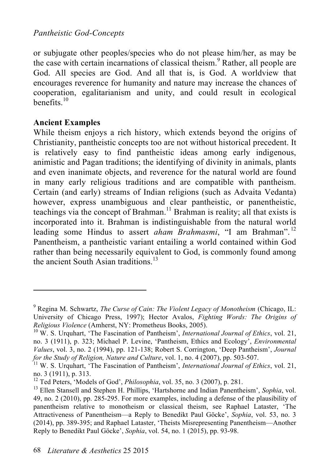or subjugate other peoples/species who do not please him/her, as may be the case with certain incarnations of classical theism. 9 Rather, all people are God. All species are God. And all that is, is God. A worldview that encourages reverence for humanity and nature may increase the chances of cooperation, egalitarianism and unity, and could result in ecological benefits. 10

# **Ancient Examples**

 $\overline{a}$ 

While theism enjoys a rich history, which extends beyond the origins of Christianity, pantheistic concepts too are not without historical precedent. It is relatively easy to find pantheistic ideas among early indigenous, animistic and Pagan traditions; the identifying of divinity in animals, plants and even inanimate objects, and reverence for the natural world are found in many early religious traditions and are compatible with pantheism. Certain (and early) streams of Indian religions (such as Advaita Vedanta) however, express unambiguous and clear pantheistic, or panentheistic, teachings via the concept of Brahman. 11 Brahman is reality; all that exists is incorporated into it. Brahman is indistinguishable from the natural world leading some Hindus to assert *aham Brahmasmi*, "I am Brahman".<sup>12</sup> Panentheism, a pantheistic variant entailing a world contained within God rather than being necessarily equivalent to God, is commonly found among the ancient South Asian traditions.<sup>13</sup>

<sup>9</sup> Regina M. Schwartz, *The Curse of Cain: The Violent Legacy of Monotheism* (Chicago, IL: University of Chicago Press, 1997); Hector Avalos, *Fighting Words: The Origins of Religious Violence* (Amherst, NY: Prometheus Books, 2005).<br><sup>10</sup> W. S. Urquhart, 'The Fascination of Pantheism', *International Journal of Ethics*, vol. 21,

no. 3 (1911), p. 323; Michael P. Levine, 'Pantheism, Ethics and Ecology', *Environmental Values*, vol. 3, no. 2 (1994), pp. 121-138; Robert S. Corrington, 'Deep Pantheism', *Journal for the Study of Religion, Nature and Culture*, vol. 1, no. 4 (2007), pp. 503-507.<br><sup>11</sup> W. S. Urquhart, 'The Fascination of Pantheism', *International Journal of Ethics*, vol. 21,

no. 3 (1911), p. 313.<br><sup>12</sup> Ted Peters, 'Models of God', *Philosophia*, vol. 35, no. 3 (2007), p. 281.<br><sup>13</sup> Ellen Stansell and Stephen H. Phillips, 'Hartshorne and Indian Panentheism', *Sophia*, vol.

<sup>49,</sup> no. 2 (2010), pp. 285-295. For more examples, including a defense of the plausibility of panentheism relative to monotheism or classical theism, see Raphael Lataster, 'The Attractiveness of Panentheism—a Reply to Benedikt Paul Göcke', *Sophia*, vol. 53, no. 3 (2014), pp. 389-395; and Raphael Lataster, 'Theists Misrepresenting Panentheism—Another Reply to Benedikt Paul Göcke', *Sophia*, vol. 54, no. 1 (2015), pp. 93-98.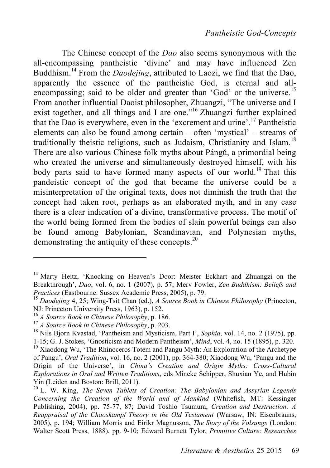The Chinese concept of the *Dao* also seems synonymous with the all-encompassing pantheistic 'divine' and may have influenced Zen Buddhism. 14 From the *Daodejing*, attributed to Laozi, we find that the Dao, apparently the essence of the pantheistic God, is eternal and allencompassing; said to be older and greater than 'God' or the universe.<sup>15</sup> From another influential Daoist philosopher, Zhuangzi, "The universe and I exist together, and all things and I are one."<sup>16</sup> Zhuangzi further explained that the Dao is everywhere, even in the 'excrement and urine'. 17 Pantheistic elements can also be found among certain – often 'mystical' – streams of traditionally theistic religions, such as Judaism, Christianity and Islam.<sup>18</sup> There are also various Chinese folk myths about Pángǔ, a primordial being who created the universe and simultaneously destroyed himself, with his body parts said to have formed many aspects of our world.<sup>19</sup> That this pandeistic concept of the god that became the universe could be a misinterpretation of the original texts, does not diminish the truth that the concept had taken root, perhaps as an elaborated myth, and in any case there is a clear indication of a divine, transformative process. The motif of the world being formed from the bodies of slain powerful beings can also be found among Babylonian, Scandinavian, and Polynesian myths. demonstrating the antiquity of these concepts.<sup>20</sup>

<sup>&</sup>lt;sup>14</sup> Marty Heitz, 'Knocking on Heaven's Door: Meister Eckhart and Zhuangzi on the Breakthrough', *Dao*, vol. 6, no. 1 (2007), p. 57; Merv Fowler, *Zen Buddhism: Beliefs and* 

*Practices* (Eastbourne: Sussex Academic Press, 2005), p. 79.<br><sup>15</sup> *Daodejing* 4, 25; Wing-Tsit Chan (ed.), *A Source Book in Chinese Philosophy* (Princeton, NJ: Princeton University Press, 1963), p. 152.

<sup>&</sup>lt;sup>16</sup> *A Source Book in Chinese Philosophy*, p. 186.<br><sup>17</sup> *A Source Book in Chinese Philosophy*, p. 203.<br><sup>18</sup> Nils Bjorn Kvastad, 'Pantheism and Mysticism, Part I', *Sophia*, vol. 14, no. 2 (1975), pp. 1-15; G. J. Stokes, 'Gnosticism and Modern Pantheism', *Mind*, vol. 4, no. 15 (1895), p. 320. <sup>19</sup> Xiaodong Wu, 'The Rhinoceros Totem and Pangu Myth: An Exploration of the Archetype

of Pangu', *Oral Tradition*, vol. 16, no. 2 (2001), pp. 364-380; Xiaodong Wu, 'Pangu and the Origin of the Universe', in *China's Creation and Origin Myths: Cross-Cultural Explorations in Oral and Written Traditions*, eds Mineke Schipper, Shuxian Ye, and Hubin Yin (Leiden and Boston: Brill, 2011).<br><sup>20</sup> L. W. King, *The Seven Tablets of Creation: The Babylonian and Assyrian Legends* 

*Concerning the Creation of the World and of Mankind* (Whitefish, MT: Kessinger Publishing, 2004), pp. 75-77, 87; David Toshio Tsumura, *Creation and Destruction: A Reappraisal of the Chaoskampf Theory in the Old Testament* (Warsaw, IN: Eisenbrauns, 2005), p. 194; William Morris and Eirikr Magnusson, *The Story of the Volsungs* (London: Walter Scott Press, 1888), pp. 9-10; Edward Burnett Tylor, *Primitive Culture: Researches*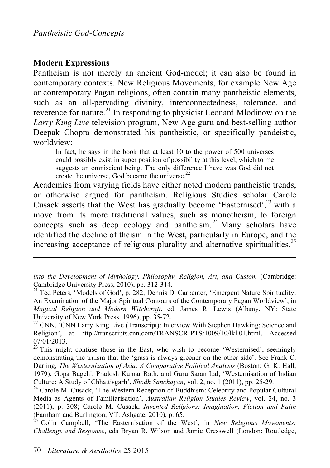#### **Modern Expressions**

 $\overline{a}$ 

Pantheism is not merely an ancient God-model; it can also be found in contemporary contexts. New Religious Movements, for example New Age or contemporary Pagan religions, often contain many pantheistic elements, such as an all-pervading divinity, interconnectedness, tolerance, and reverence for nature.<sup>21</sup> In responding to physicist Leonard Mlodinow on the *Larry King Live* television program, New Age guru and best-selling author Deepak Chopra demonstrated his pantheistic, or specifically pandeistic, worldview:

In fact, he says in the book that at least 10 to the power of 500 universes could possibly exist in super position of possibility at this level, which to me suggests an omniscient being. The only difference I have was God did not create the universe, God became the universe.<sup>22</sup>

Academics from varying fields have either noted modern pantheistic trends, or otherwise argued for pantheism. Religious Studies scholar Carole Cusack asserts that the West has gradually become 'Easternised', 23 with a move from its more traditional values, such as monotheism, to foreign concepts such as deep ecology and pantheism.<sup>24</sup> Many scholars have identified the decline of theism in the West, particularly in Europe, and the increasing acceptance of religious plurality and alternative spiritualities.<sup>25</sup>

*into the Development of Mythology, Philosophy, Religion, Art, and Custom* (Cambridge: Cambridge University Press, 2010), pp. 312-314.<br><sup>21</sup> Ted Peters, 'Models of God', p. 282; Dennis D. Carpenter, 'Emergent Nature Spirituality:

An Examination of the Major Spiritual Contours of the Contemporary Pagan Worldview', in *Magical Religion and Modern Witchcraft*, ed. James R. Lewis (Albany, NY: State University of New York Press, 1996), pp. 35-72.<br><sup>22</sup> CNN. 'CNN Larry King Live (Transcript): Interview With Stephen Hawking; Science and

Religion', at http://transcripts.cnn.com/TRANSCRIPTS/1009/10/lkl.01.html. Accessed  $07/01/2013$ .<br><sup>23</sup> This might confuse those in the East, who wish to become 'Westernised', seemingly

demonstrating the truism that the 'grass is always greener on the other side'. See Frank C. Darling, *The Westernization of Asia: A Comparative Political Analysis* (Boston: G. K. Hall, 1979); Gopa Bagchi, Pradosh Kumar Rath, and Guru Saran Lal, 'Westernisation of Indian Culture: A Study of Chhattisgarh', Shodh Sanchayan, vol. 2, no. 1 (2011), pp. 25-29.

<sup>&</sup>lt;sup>24</sup> Carole M. Cusack, 'The Western Reception of Buddhism: Celebrity and Popular Cultural Media as Agents of Familiarisation', *Australian Religion Studies Review*, vol. 24, no. 3 (2011), p. 308; Carole M. Cusack, *Invented Religions: Imagination, Fiction and Faith* (Farnham and Burlington, VT: Ashgate, 2010), p. 65. <sup>25</sup> Colin Campbell, 'The Easternisation of the West', in *New Religious Movements:* 

*Challenge and Response*, eds Bryan R. Wilson and Jamie Cresswell (London: Routledge,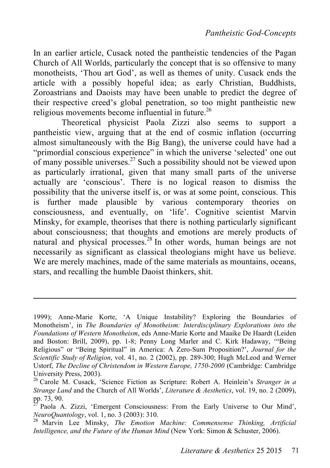In an earlier article, Cusack noted the pantheistic tendencies of the Pagan Church of All Worlds, particularly the concept that is so offensive to many monotheists, 'Thou art God', as well as themes of unity. Cusack ends the article with a possibly hopeful idea; as early Christian, Buddhists, Zoroastrians and Daoists may have been unable to predict the degree of their respective creed's global penetration, so too might pantheistic new religious movements become influential in future.<sup>26</sup>

Theoretical physicist Paola Zizzi also seems to support a pantheistic view, arguing that at the end of cosmic inflation (occurring almost simultaneously with the Big Bang), the universe could have had a "primordial conscious experience" in which the universe 'selected' one out of many possible universes.<sup>27</sup> Such a possibility should not be viewed upon as particularly irrational, given that many small parts of the universe actually are 'conscious'. There is no logical reason to dismiss the possibility that the universe itself is, or was at some point, conscious. This is further made plausible by various contemporary theories on consciousness, and eventually, on 'life'. Cognitive scientist Marvin Minsky, for example, theorises that there is nothing particularly significant about consciousness; that thoughts and emotions are merely products of natural and physical processes.<sup>28</sup> In other words, human beings are not necessarily as significant as classical theologians might have us believe. We are merely machines, made of the same materials as mountains, oceans, stars, and recalling the humble Daoist thinkers, shit.

<sup>1999);</sup> Anne-Marie Korte, 'A Unique Instability? Exploring the Boundaries of Monotheism', in *The Boundaries of Monotheism: Interdisciplinary Explorations into the Foundations of Western Monotheism*, eds Anne-Marie Korte and Maaike De Haardt (Leiden and Boston: Brill, 2009), pp. 1-8; Penny Long Marler and C. Kirk Hadaway, '"Being Religious" or "Being Spiritual" in America: A Zero-Sum Proposition?', *Journal for the Scientific Study of Religion*, vol. 41, no. 2 (2002), pp. 289-300; Hugh McLeod and Werner Ustorf, *The Decline of Christendom in Western Europe, 1750-2000* (Cambridge: Cambridge University Press, 2003).<br><sup>26</sup> Carole M. Cusack, 'Science Fiction as Scripture: Robert A. Heinlein's *Stranger in a* 

*Strange Land* and the Church of All Worlds', *Literature & Aesthetics*, vol. 19, no. 2 (2009),

Paola A. Zizzi, 'Emergent Consciousness: From the Early Universe to Our Mind', *NeuroQuantology*, vol. 1, no. 3 (2003): 310.<br><sup>28</sup> Marvin Lee Minsky, *The Emotion Machine: Commensense Thinking, Artificial* 

*Intelligence, and the Future of the Human Mind* (New York: Simon & Schuster, 2006).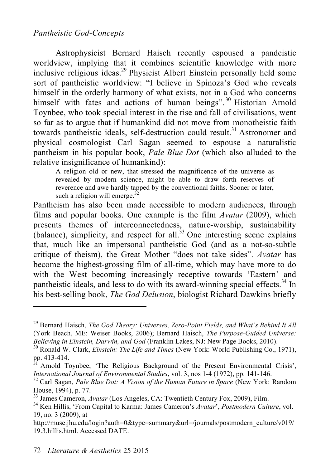#### *Pantheistic God-Concepts*

Astrophysicist Bernard Haisch recently espoused a pandeistic worldview, implying that it combines scientific knowledge with more inclusive religious ideas. 29 Physicist Albert Einstein personally held some sort of pantheistic worldview: "I believe in Spinoza's God who reveals himself in the orderly harmony of what exists, not in a God who concerns himself with fates and actions of human beings".<sup>30</sup> Historian Arnold Toynbee, who took special interest in the rise and fall of civilisations, went so far as to argue that if humankind did not move from monotheistic faith towards pantheistic ideals, self-destruction could result. 31 Astronomer and physical cosmologist Carl Sagan seemed to espouse a naturalistic pantheism in his popular book, *Pale Blue Dot* (which also alluded to the relative insignificance of humankind):

A religion old or new, that stressed the magnificence of the universe as revealed by modern science, might be able to draw forth reserves of reverence and awe hardly tapped by the conventional faiths. Sooner or later, such a religion will emerge. $^{32}$ 

Pantheism has also been made accessible to modern audiences, through films and popular books. One example is the film *Avatar* (2009), which presents themes of interconnectedness, nature-worship, sustainability  $\alpha$ (balance), simplicity, and respect for all.<sup>33</sup> One interesting scene explains that, much like an impersonal pantheistic God (and as a not-so-subtle critique of theism), the Great Mother "does not take sides". *Avatar* has become the highest-grossing film of all-time, which may have more to do with the West becoming increasingly receptive towards 'Eastern' and pantheistic ideals, and less to do with its award-winning special effects.<sup>34</sup> In his best-selling book, *The God Delusion*, biologist Richard Dawkins briefly

<sup>29</sup> Bernard Haisch, *The God Theory: Universes, Zero-Point Fields, and What's Behind It All* (York Beach, ME: Weiser Books, 2006); Bernard Haisch, *The Purpose-Guided Universe:* 

*Believing in Einstein, Darwin, and God* (Franklin Lakes, NJ: New Page Books, 2010).<br><sup>30</sup> Ronald W. Clark, *Einstein: The Life and Times* (New York: World Publishing Co., 1971), pp. 413-414.

Arnold Toynbee, 'The Religious Background of the Present Environmental Crisis', *International Journal of Environmental Studies*, vol. 3, nos 1-4 (1972), pp. 141-146.<br><sup>32</sup> Carl Sagan, *Pale Blue Dot: A Vision of the Human Future in Space* (New York: Random

House, 1994), p. 77.<br><sup>33</sup> James Cameron, *Avatar* (Los Angeles, CA: Twentieth Century Fox, 2009), Film.<br><sup>34</sup> Ken Hillis, 'From Capital to Karma: James Cameron's *Avatar'*, *Postmodern Culture*, vol.

<sup>19,</sup> no. 3 (2009), at

http://muse.jhu.edu/login?auth=0&type=summary&url=/journals/postmodern\_culture/v019/ 19.3.hillis.html. Accessed DATE.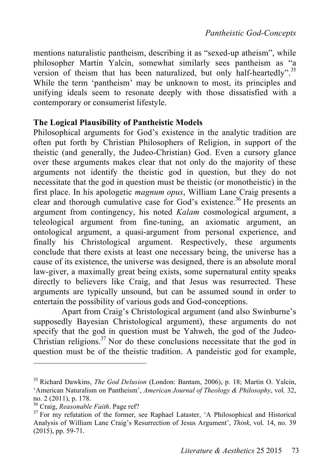mentions naturalistic pantheism, describing it as "sexed-up atheism", while philosopher Martin Yalcin, somewhat similarly sees pantheism as "a version of theism that has been naturalized, but only half-heartedly".<sup>35</sup> While the term 'pantheism' may be unknown to most, its principles and unifying ideals seem to resonate deeply with those dissatisfied with a contemporary or consumerist lifestyle.

#### **The Logical Plausibility of Pantheistic Models**

Philosophical arguments for God's existence in the analytic tradition are often put forth by Christian Philosophers of Religion, in support of the theistic (and generally, the Judeo-Christian) God. Even a cursory glance over these arguments makes clear that not only do the majority of these arguments not identify the theistic god in question, but they do not necessitate that the god in question must be theistic (or monotheistic) in the first place. In his apologetic *magnum opus*, William Lane Craig presents a clear and thorough cumulative case for God's existence. 36 He presents an argument from contingency, his noted *Kalam* cosmological argument, a teleological argument from fine-tuning, an axiomatic argument, an ontological argument, a quasi-argument from personal experience, and finally his Christological argument. Respectively, these arguments conclude that there exists at least one necessary being, the universe has a cause of its existence, the universe was designed, there is an absolute moral law-giver, a maximally great being exists, some supernatural entity speaks directly to believers like Craig, and that Jesus was resurrected. These arguments are typically unsound, but can be assumed sound in order to entertain the possibility of various gods and God-conceptions.

Apart from Craig's Christological argument (and also Swinburne's supposedly Bayesian Christological argument), these arguments do not specify that the god in question must be Yahweh, the god of the Judeo-Christian religions.<sup>37</sup> Nor do these conclusions necessitate that the god in question must be of the theistic tradition. A pandeistic god for example,

<sup>35</sup> Richard Dawkins, *The God Delusion* (London: Bantam, 2006), p. 18; Martin O. Yalcin, 'American Naturalism on Pantheism', *American Journal of Theology & Philosophy*, vol. 32, no. 2 (2011), p. 178.<br><sup>36</sup> Craig, *Reasonable Faith*. Page ref?<br><sup>37</sup> For my refutation of the former, see Raphael Lataster, 'A Philosophical and Historical

Analysis of William Lane Craig's Resurrection of Jesus Argument', *Think*, vol. 14, no. 39 (2015), pp. 59-71.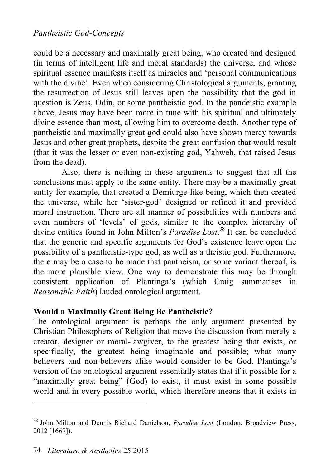could be a necessary and maximally great being, who created and designed (in terms of intelligent life and moral standards) the universe, and whose spiritual essence manifests itself as miracles and 'personal communications with the divine'. Even when considering Christological arguments, granting the resurrection of Jesus still leaves open the possibility that the god in question is Zeus, Odin, or some pantheistic god. In the pandeistic example above, Jesus may have been more in tune with his spiritual and ultimately divine essence than most, allowing him to overcome death. Another type of pantheistic and maximally great god could also have shown mercy towards Jesus and other great prophets, despite the great confusion that would result (that it was the lesser or even non-existing god, Yahweh, that raised Jesus from the dead).

Also, there is nothing in these arguments to suggest that all the conclusions must apply to the same entity. There may be a maximally great entity for example, that created a Demiurge-like being, which then created the universe, while her 'sister-god' designed or refined it and provided moral instruction. There are all manner of possibilities with numbers and even numbers of 'levels' of gods, similar to the complex hierarchy of divine entities found in John Milton's *Paradise Lost*. 38 It can be concluded that the generic and specific arguments for God's existence leave open the possibility of a pantheistic-type god, as well as a theistic god. Furthermore, there may be a case to be made that pantheism, or some variant thereof, is the more plausible view. One way to demonstrate this may be through consistent application of Plantinga's (which Craig summarises in *Reasonable Faith*) lauded ontological argument.

# **Would a Maximally Great Being Be Pantheistic?**

The ontological argument is perhaps the only argument presented by Christian Philosophers of Religion that move the discussion from merely a creator, designer or moral-lawgiver, to the greatest being that exists, or specifically, the greatest being imaginable and possible; what many believers and non-believers alike would consider to be God. Plantinga's version of the ontological argument essentially states that if it possible for a "maximally great being" (God) to exist, it must exist in some possible world and in every possible world, which therefore means that it exists in

<sup>38</sup> John Milton and Dennis Richard Danielson, *Paradise Lost* (London: Broadview Press, 2012 [1667]).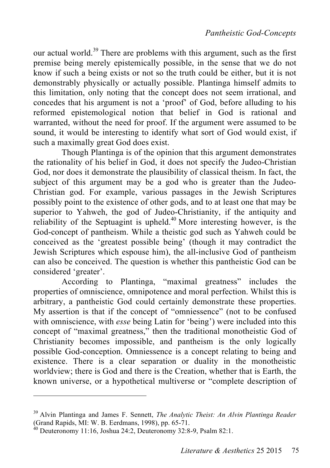our actual world.<sup>39</sup> There are problems with this argument, such as the first premise being merely epistemically possible, in the sense that we do not know if such a being exists or not so the truth could be either, but it is not demonstrably physically or actually possible. Plantinga himself admits to this limitation, only noting that the concept does not seem irrational, and concedes that his argument is not a 'proof' of God, before alluding to his reformed epistemological notion that belief in God is rational and warranted, without the need for proof. If the argument were assumed to be sound, it would be interesting to identify what sort of God would exist, if such a maximally great God does exist.

Though Plantinga is of the opinion that this argument demonstrates the rationality of his belief in God, it does not specify the Judeo-Christian God, nor does it demonstrate the plausibility of classical theism. In fact, the subject of this argument may be a god who is greater than the Judeo-Christian god. For example, various passages in the Jewish Scriptures possibly point to the existence of other gods, and to at least one that may be superior to Yahweh, the god of Judeo-Christianity, if the antiquity and reliability of the Septuagint is upheld.<sup>40</sup> More interesting however, is the God-concept of pantheism. While a theistic god such as Yahweh could be conceived as the 'greatest possible being' (though it may contradict the Jewish Scriptures which espouse him), the all-inclusive God of pantheism can also be conceived. The question is whether this pantheistic God can be considered 'greater'.

According to Plantinga, "maximal greatness" includes the properties of omniscience, omnipotence and moral perfection. Whilst this is arbitrary, a pantheistic God could certainly demonstrate these properties. My assertion is that if the concept of "omniessence" (not to be confused with omniscience, with *esse* being Latin for 'being') were included into this concept of "maximal greatness," then the traditional monotheistic God of Christianity becomes impossible, and pantheism is the only logically possible God-conception. Omniessence is a concept relating to being and existence. There is a clear separation or duality in the monotheistic worldview; there is God and there is the Creation, whether that is Earth, the known universe, or a hypothetical multiverse or "complete description of

<sup>&</sup>lt;sup>39</sup> Alvin Plantinga and James F. Sennett, *The Analytic Theist: An Alvin Plantinga Reader* (Grand Rapids, MI: W. B. Eerdmans, 1998), pp. 65-71.

 $^{40}$  Deuteronomy 11:16, Joshua 24:2, Deuteronomy 32:8-9, Psalm 82:1.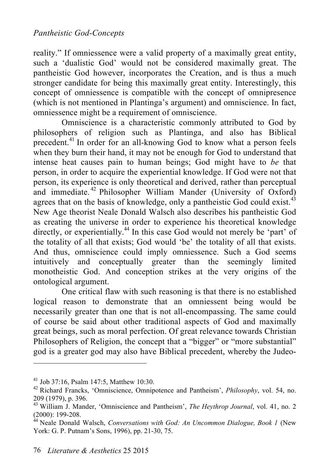reality." If omniessence were a valid property of a maximally great entity, such a 'dualistic God' would not be considered maximally great. The pantheistic God however, incorporates the Creation, and is thus a much stronger candidate for being this maximally great entity. Interestingly, this concept of omniessence is compatible with the concept of omnipresence (which is not mentioned in Plantinga's argument) and omniscience. In fact, omniessence might be a requirement of omniscience.

Omniscience is a characteristic commonly attributed to God by philosophers of religion such as Plantinga, and also has Biblical precedent.<sup>41</sup> In order for an all-knowing God to know what a person feels when they burn their hand, it may not be enough for God to understand that intense heat causes pain to human beings; God might have to *be* that person, in order to acquire the experiential knowledge. If God were not that person, its experience is only theoretical and derived, rather than perceptual and immediate.<sup>42</sup> Philosopher William Mander (University of Oxford) agrees that on the basis of knowledge, only a pantheistic God could exist.<sup>43</sup> New Age theorist Neale Donald Walsch also describes his pantheistic God as creating the universe in order to experience his theoretical knowledge directly, or experientially.<sup>44</sup> In this case God would not merely be 'part' of the totality of all that exists; God would 'be' the totality of all that exists. And thus, omniscience could imply omniessence. Such a God seems intuitively and conceptually greater than the seemingly limited monotheistic God. And conception strikes at the very origins of the ontological argument.

One critical flaw with such reasoning is that there is no established logical reason to demonstrate that an omniessent being would be necessarily greater than one that is not all-encompassing. The same could of course be said about other traditional aspects of God and maximally great beings, such as moral perfection. Of great relevance towards Christian Philosophers of Religion, the concept that a "bigger" or "more substantial" god is a greater god may also have Biblical precedent, whereby the Judeo-

<sup>41</sup> Job 37:16, Psalm 147:5, Matthew 10:30.

<sup>42</sup> Richard Francks, 'Omniscience, Omnipotence and Pantheism', *Philosophy*, vol. 54, no. 209 (1979), p. 396. <sup>43</sup> William J. Mander, 'Omniscience and Pantheism', *The Heythrop Journal*, vol. 41, no. 2

<sup>(2000): 199-208.</sup> <sup>44</sup> Neale Donald Walsch, *Conversations with God: An Uncommon Dialogue, Book 1* (New

York: G. P. Putnam's Sons, 1996), pp. 21-30, 75.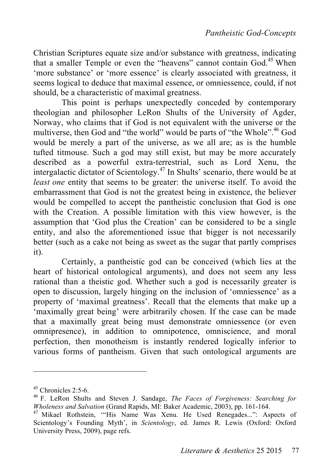Christian Scriptures equate size and/or substance with greatness, indicating that a smaller Temple or even the "heavens" cannot contain God.<sup>45</sup> When 'more substance' or 'more essence' is clearly associated with greatness, it seems logical to deduce that maximal essence, or omniessence, could, if not should, be a characteristic of maximal greatness.

This point is perhaps unexpectedly conceded by contemporary theologian and philosopher LeRon Shults of the University of Agder, Norway, who claims that if God is not equivalent with the universe or the multiverse, then God and "the world" would be parts of "the Whole".<sup>46</sup> God would be merely a part of the universe, as we all are; as is the humble tufted titmouse. Such a god may still exist, but may be more accurately described as a powerful extra-terrestrial, such as Lord Xenu, the intergalactic dictator of Scientology. 47 In Shults' scenario, there would be at *least one* entity that seems to be greater: the universe itself. To avoid the embarrassment that God is not the greatest being in existence, the believer would be compelled to accept the pantheistic conclusion that God is one with the Creation. A possible limitation with this view however, is the assumption that 'God plus the Creation' can be considered to be a single entity, and also the aforementioned issue that bigger is not necessarily better (such as a cake not being as sweet as the sugar that partly comprises it).

Certainly, a pantheistic god can be conceived (which lies at the heart of historical ontological arguments), and does not seem any less rational than a theistic god. Whether such a god is necessarily greater is open to discussion, largely hinging on the inclusion of 'omniessence' as a property of 'maximal greatness'. Recall that the elements that make up a 'maximally great being' were arbitrarily chosen. If the case can be made that a maximally great being must demonstrate omniessence (or even omnipresence), in addition to omnipotence, omniscience, and moral perfection, then monotheism is instantly rendered logically inferior to various forms of pantheism. Given that such ontological arguments are

<sup>45</sup> Chronicles 2:5-6. <sup>46</sup> F. LeRon Shults and Steven J. Sandage, *The Faces of Forgiveness: Searching for Wholeness and Salvation* (Grand Rapids, MI: Baker Academic, 2003), pp. 161-164.<br><sup>47</sup> Mikael Rothstein, "His Name Was Xenu. He Used Renegades...": Aspects of

Scientology's Founding Myth', in *Scientology*, ed. James R. Lewis (Oxford: Oxford University Press, 2009), page refs.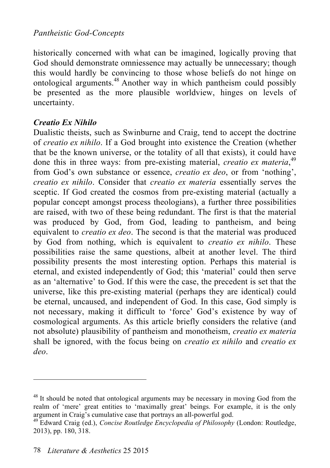# *Pantheistic God-Concepts*

historically concerned with what can be imagined, logically proving that God should demonstrate omniessence may actually be unnecessary; though this would hardly be convincing to those whose beliefs do not hinge on ontological arguments. 48 Another way in which pantheism could possibly be presented as the more plausible worldview, hinges on levels of uncertainty.

#### *Creatio Ex Nihilo*

Dualistic theists, such as Swinburne and Craig, tend to accept the doctrine of *creatio ex nihilo*. If a God brought into existence the Creation (whether that be the known universe, or the totality of all that exists), it could have done this in three ways: from pre-existing material, *creatio ex materia*,<sup>49</sup> from God's own substance or essence, *creatio ex deo*, or from 'nothing', *creatio ex nihilo*. Consider that *creatio ex materia* essentially serves the sceptic. If God created the cosmos from pre-existing material (actually a popular concept amongst process theologians), a further three possibilities are raised, with two of these being redundant. The first is that the material was produced by God, from God, leading to pantheism, and being equivalent to *creatio ex deo*. The second is that the material was produced by God from nothing, which is equivalent to *creatio ex nihilo*. These possibilities raise the same questions, albeit at another level. The third possibility presents the most interesting option. Perhaps this material is eternal, and existed independently of God; this 'material' could then serve as an 'alternative' to God. If this were the case, the precedent is set that the universe, like this pre-existing material (perhaps they are identical) could be eternal, uncaused, and independent of God. In this case, God simply is not necessary, making it difficult to 'force' God's existence by way of cosmological arguments. As this article briefly considers the relative (and not absolute) plausibility of pantheism and monotheism, *creatio ex materia* shall be ignored, with the focus being on *creatio ex nihilo* and *creatio ex deo*.

 $48$  It should be noted that ontological arguments may be necessary in moving God from the realm of 'mere' great entities to 'maximally great' beings. For example, it is the only argument in Craig's cumulative case that portrays an all-powerful god.

<sup>&</sup>lt;sup>49</sup> Edward Craig (ed.), *Concise Routledge Encyclopedia of Philosophy* (London: Routledge, 2013), pp. 180, 318.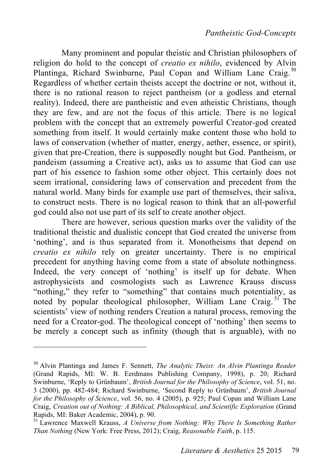Many prominent and popular theistic and Christian philosophers of religion do hold to the concept of *creatio ex nihilo*, evidenced by Alvin Plantinga, Richard Swinburne, Paul Copan and William Lane Craig.<sup>50</sup> Regardless of whether certain theists accept the doctrine or not, without it, there is no rational reason to reject pantheism (or a godless and eternal reality). Indeed, there are pantheistic and even atheistic Christians, though they are few, and are not the focus of this article. There is no logical problem with the concept that an extremely powerful Creator-god created something from itself. It would certainly make content those who hold to laws of conservation (whether of matter, energy, aether, essence, or spirit), given that pre-Creation, there is supposedly nought but God. Pantheism, or pandeism (assuming a Creative act), asks us to assume that God can use part of his essence to fashion some other object. This certainly does not seem irrational, considering laws of conservation and precedent from the natural world. Many birds for example use part of themselves, their saliva, to construct nests. There is no logical reason to think that an all-powerful god could also not use part of its self to create another object.

There are however, serious question marks over the validity of the traditional theistic and dualistic concept that God created the universe from 'nothing', and is thus separated from it. Monotheisms that depend on *creatio ex nihilo* rely on greater uncertainty. There is no empirical precedent for anything having come from a state of absolute nothingness. Indeed, the very concept of 'nothing' is itself up for debate. When astrophysicists and cosmologists such as Lawrence Krauss discuss "nothing," they refer to "something" that contains much potentiality, as noted by popular theological philosopher, William Lane Craig.<sup>51</sup> The scientists' view of nothing renders Creation a natural process, removing the need for a Creator-god. The theological concept of 'nothing' then seems to be merely a concept such as infinity (though that is arguable), with no

<sup>50</sup> Alvin Plantinga and James F. Sennett, *The Analytic Theist: An Alvin Plantinga Reader* (Grand Rapids, MI: W. B. Eerdmans Publishing Company, 1998), p. 20; Richard Swinburne, 'Reply to Grünbaum', *British Journal for the Philosophy of Science*, vol. 51, no. 3 (2000), pp. 482-484; Richard Swinburne, 'Second Reply to Grünbaum', *British Journal for the Philosophy of Science*, vol. 56, no. 4 (2005), p. 925; Paul Copan and William Lane Craig, *Creation out of Nothing: A Biblical, Philosophical, and Scientific Exploration* (Grand Rapids, MI: Baker Academic, 2004), p. 90.<br><sup>51</sup> Lawrence Maxwell Krauss, *A Universe from Nothing: Why There Is Something Rather* 

*Than Nothing* (New York: Free Press, 2012); Craig, *Reasonable Faith*, p. 115.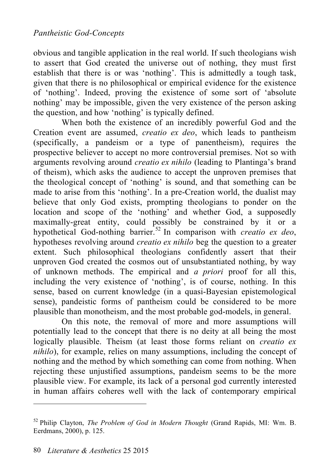obvious and tangible application in the real world. If such theologians wish to assert that God created the universe out of nothing, they must first establish that there is or was 'nothing'. This is admittedly a tough task, given that there is no philosophical or empirical evidence for the existence of 'nothing'. Indeed, proving the existence of some sort of 'absolute nothing' may be impossible, given the very existence of the person asking the question, and how 'nothing' is typically defined.

When both the existence of an incredibly powerful God and the Creation event are assumed, *creatio ex deo*, which leads to pantheism (specifically, a pandeism or a type of panentheism), requires the prospective believer to accept no more controversial premises. Not so with arguments revolving around *creatio ex nihilo* (leading to Plantinga's brand of theism), which asks the audience to accept the unproven premises that the theological concept of 'nothing' is sound, and that something can be made to arise from this 'nothing'. In a pre-Creation world, the dualist may believe that only God exists, prompting theologians to ponder on the location and scope of the 'nothing' and whether God, a supposedly maximally-great entity, could possibly be constrained by it or a hypothetical God-nothing barrier. 52 In comparison with *creatio ex deo*, hypotheses revolving around *creatio ex nihilo* beg the question to a greater extent. Such philosophical theologians confidently assert that their unproven God created the cosmos out of unsubstantiated nothing, by way of unknown methods. The empirical and *a priori* proof for all this, including the very existence of 'nothing', is of course, nothing. In this sense, based on current knowledge (in a quasi-Bayesian epistemological sense), pandeistic forms of pantheism could be considered to be more plausible than monotheism, and the most probable god-models, in general.

On this note, the removal of more and more assumptions will potentially lead to the concept that there is no deity at all being the most logically plausible. Theism (at least those forms reliant on *creatio ex nihilo*), for example, relies on many assumptions, including the concept of nothing and the method by which something can come from nothing. When rejecting these unjustified assumptions, pandeism seems to be the more plausible view. For example, its lack of a personal god currently interested in human affairs coheres well with the lack of contemporary empirical

<sup>52</sup> Philip Clayton, *The Problem of God in Modern Thought* (Grand Rapids, MI: Wm. B. Eerdmans, 2000), p. 125.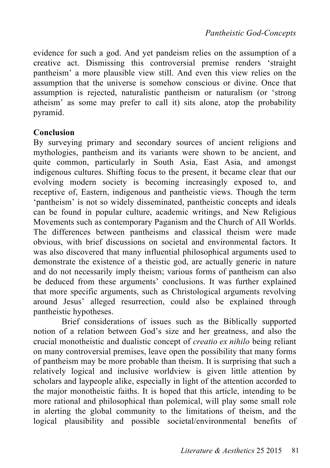evidence for such a god. And yet pandeism relies on the assumption of a creative act. Dismissing this controversial premise renders 'straight pantheism' a more plausible view still. And even this view relies on the assumption that the universe is somehow conscious or divine. Once that assumption is rejected, naturalistic pantheism or naturalism (or 'strong atheism' as some may prefer to call it) sits alone, atop the probability pyramid.

#### **Conclusion**

By surveying primary and secondary sources of ancient religions and mythologies, pantheism and its variants were shown to be ancient, and quite common, particularly in South Asia, East Asia, and amongst indigenous cultures. Shifting focus to the present, it became clear that our evolving modern society is becoming increasingly exposed to, and receptive of, Eastern, indigenous and pantheistic views. Though the term 'pantheism' is not so widely disseminated, pantheistic concepts and ideals can be found in popular culture, academic writings, and New Religious Movements such as contemporary Paganism and the Church of All Worlds. The differences between pantheisms and classical theism were made obvious, with brief discussions on societal and environmental factors. It was also discovered that many influential philosophical arguments used to demonstrate the existence of a theistic god, are actually generic in nature and do not necessarily imply theism; various forms of pantheism can also be deduced from these arguments' conclusions. It was further explained that more specific arguments, such as Christological arguments revolving around Jesus' alleged resurrection, could also be explained through pantheistic hypotheses.

Brief considerations of issues such as the Biblically supported notion of a relation between God's size and her greatness, and also the crucial monotheistic and dualistic concept of *creatio ex nihilo* being reliant on many controversial premises, leave open the possibility that many forms of pantheism may be more probable than theism. It is surprising that such a relatively logical and inclusive worldview is given little attention by scholars and laypeople alike, especially in light of the attention accorded to the major monotheistic faiths. It is hoped that this article, intending to be more rational and philosophical than polemical, will play some small role in alerting the global community to the limitations of theism, and the logical plausibility and possible societal/environmental benefits of